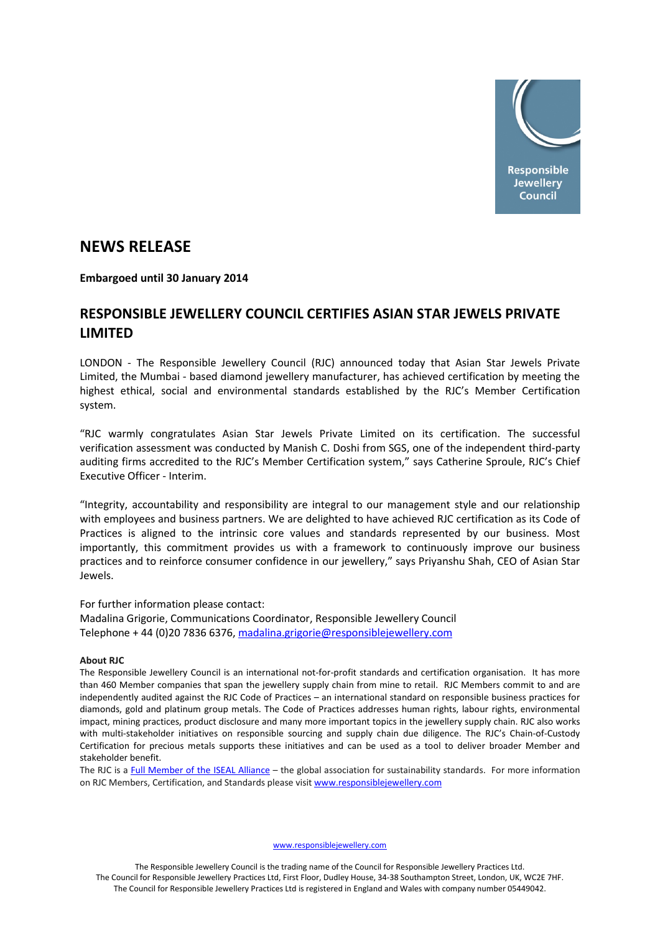

## **NEWS RELEASE**

**Embargoed until 30 January 2014**

## **RESPONSIBLE JEWELLERY COUNCIL CERTIFIES ASIAN STAR JEWELS PRIVATE LIMITED**

LONDON - The Responsible Jewellery Council (RJC) announced today that Asian Star Jewels Private Limited, the Mumbai - based diamond jewellery manufacturer, has achieved certification by meeting the highest ethical, social and environmental standards established by the RJC's Member Certification system.

"RJC warmly congratulates Asian Star Jewels Private Limited on its certification. The successful verification assessment was conducted by Manish C. Doshi from SGS, one of the independent third-party auditing firms accredited to the RJC's Member Certification system," says Catherine Sproule, RJC's Chief Executive Officer - Interim.

"Integrity, accountability and responsibility are integral to our management style and our relationship with employees and business partners. We are delighted to have achieved RJC certification as its Code of Practices is aligned to the intrinsic core values and standards represented by our business. Most importantly, this commitment provides us with a framework to continuously improve our business practices and to reinforce consumer confidence in our jewellery," says Priyanshu Shah, CEO of Asian Star Jewels.

For further information please contact:

Madalina Grigorie, Communications Coordinator, Responsible Jewellery Council Telephone + 44 (0)20 7836 6376, [madalina.grigorie@responsiblejewellery.com](mailto:madalina.grigorie@responsiblejewellery.com)

## **About RJC**

The Responsible Jewellery Council is an international not-for-profit standards and certification organisation. It has more than 460 Member companies that span the jewellery supply chain from mine to retail. RJC Members commit to and are independently audited against the RJC Code of Practices – an international standard on responsible business practices for diamonds, gold and platinum group metals. The Code of Practices addresses human rights, labour rights, environmental impact, mining practices, product disclosure and many more important topics in the jewellery supply chain. RJC also works with multi-stakeholder initiatives on responsible sourcing and supply chain due diligence. The RJC's Chain-of-Custody Certification for precious metals supports these initiatives and can be used as a tool to deliver broader Member and stakeholder benefit.

The RJC is a [Full Member of the ISEAL Alliance](http://www.isealalliance.org/our-members/full-members) – the global association for sustainability standards. For more information on RJC Members, Certification, and Standards please visi[t www.responsiblejewellery.com](http://www.responsiblejewellery.com/)

[www.responsiblejewellery.com](http://www.responsiblejewellery.com/)

The Responsible Jewellery Council is the trading name of the Council for Responsible Jewellery Practices Ltd. The Council for Responsible Jewellery Practices Ltd, First Floor, Dudley House, 34-38 Southampton Street, London, UK, WC2E 7HF. The Council for Responsible Jewellery Practices Ltd is registered in England and Wales with company number 05449042.